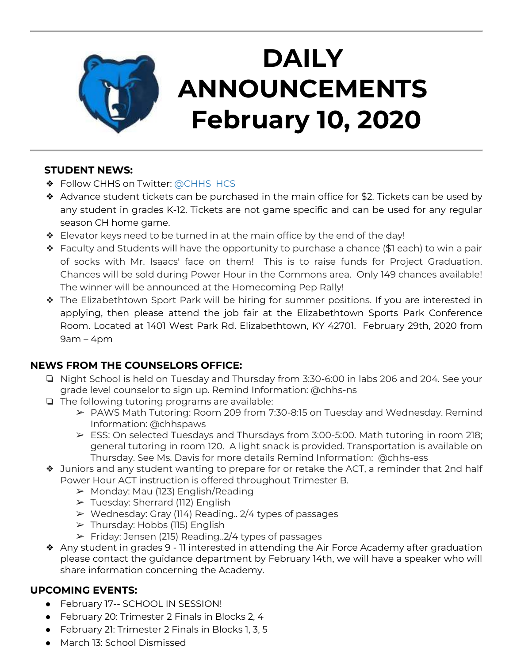

## **DAILY ANNOUNCEMENTS February 10, 2020**

#### **STUDENT NEWS:**

- ❖ Follow CHHS on Twitter: [@CHHS\\_HCS](https://twitter.com/CHHS_HCS)
- ❖ Advance student tickets can be purchased in the main office for \$2. Tickets can be used by any student in grades K-12. Tickets are not game specific and can be used for any regular season CH home game.
- ❖ Elevator keys need to be turned in at the main office by the end of the day!
- ❖ Faculty and Students will have the opportunity to purchase a chance (\$1 each) to win a pair of socks with Mr. Isaacs' face on them! This is to raise funds for Project Graduation. Chances will be sold during Power Hour in the Commons area. Only 149 chances available! The winner will be announced at the Homecoming Pep Rally!
- ❖ The Elizabethtown Sport Park will be hiring for summer positions. If you are interested in applying, then please attend the job fair at the Elizabethtown Sports Park Conference Room. Located at 1401 West Park Rd. Elizabethtown, KY 42701. February 29th, 2020 from  $9am - 4pm$

#### **NEWS FROM THE COUNSELORS OFFICE:**

- ❏ Night School is held on Tuesday and Thursday from 3:30-6:00 in labs 206 and 204. See your grade level counselor to sign up. Remind Information: @chhs-ns
- ❏ The following tutoring programs are available:
	- ➢ PAWS Math Tutoring: Room 209 from 7:30-8:15 on Tuesday and Wednesday. Remind Information: @chhspaws
	- $\triangleright$  ESS: On selected Tuesdays and Thursdays from 3:00-5:00. Math tutoring in room 218; general tutoring in room 120. A light snack is provided. Transportation is available on Thursday. See Ms. Davis for more details Remind Information: @chhs-ess
- ❖ Juniors and any student wanting to prepare for or retake the ACT, a reminder that 2nd half Power Hour ACT instruction is offered throughout Trimester B.
	- $\triangleright$  Monday: Mau (123) English/Reading
	- $\triangleright$  Tuesday: Sherrard (112) English
	- $\triangleright$  Wednesday: Gray (114) Reading.. 2/4 types of passages
	- ➢ Thursday: Hobbs (115) English
	- $\triangleright$  Friday: Jensen (215) Reading. 2/4 types of passages
- ❖ Any student in grades 9 11 interested in attending the Air Force Academy after graduation please contact the guidance department by February 14th, we will have a speaker who will share information concerning the Academy.

#### **UPCOMING EVENTS:**

- February 17-- SCHOOL IN SESSION!
- February 20: Trimester 2 Finals in Blocks 2, 4
- February 21: Trimester 2 Finals in Blocks 1, 3, 5
- March 13: School Dismissed